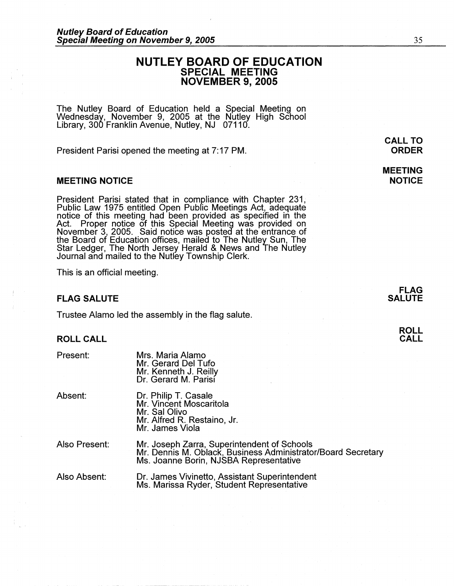# **NUTLEY BOARD OF EDUCATION SPECIAL MEETING NOVEMBER 9, 2005**

The Nutley Board of Education held a Special Meeting on Wednesday, November 9, 2005 at the Nutley High School Library, 300 Franklin Avenue, Nutley, NJ 07110.

President Parisi opened the meeting at 7: 17 PM.

### **MEETING NOTICE**

President Parisi stated that in compliance with Chapter 231, Public Law 1975 entitled Open Pubfic Meetings Act, adequate notice of this meeting had been provided as specified in the Act. Proper notice of this Special Meeting was provided on November 3, 2005. Said notice was posted at the entrance of the Board of Education offices, mailed to The Nutley Sun, The Star Ledger, The North Jersey Herald & News and The Nutley Journal and mailed to the Nutley Township Clerk.

This is an official meeting.

### **FLAG SALUTE**

Trustee Alamo led the assembly in the flag salute.

## **ROLL CALL**

| Present:      | Mrs. Maria Alamo<br>Mr. Gerard Del Tufo<br>Mr. Kenneth J. Reilly<br>Dr. Gerard M. Parisí                                                              |
|---------------|-------------------------------------------------------------------------------------------------------------------------------------------------------|
| Absent:       | Dr. Philip T. Casale<br>Mr. Vincent Moscaritola<br>Mr. Sal Olivo<br>Mr. Alfred R. Restaino, Jr.<br>Mr. James Viola                                    |
| Also Present: | Mr. Joseph Zarra, Superintendent of Schools<br>Mr. Dennis M. Oblack, Business Administrator/Board Secretary<br>Ms. Joanne Borin, NJSBA Representative |
| Also Absent:  | Dr. James Vivinetto, Assistant Superintendent<br>Ms. Marissa Ryder, Student Representative                                                            |

**CALL TO ORDER** 

**MEETING NOTICE** 

**ROLL CALL**